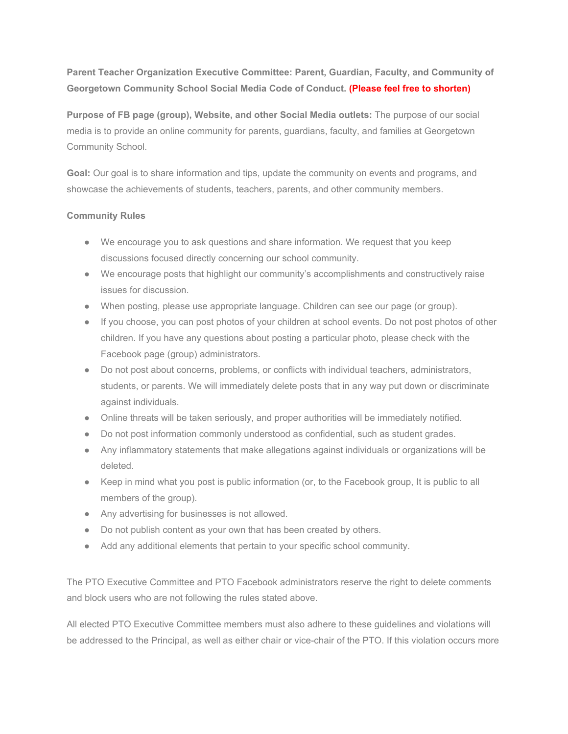**Parent Teacher Organization Executive Committee: Parent, Guardian, Faculty, and Community of Georgetown Community School Social Media Code of Conduct. (Please feel free to shorten)**

**Purpose of FB page (group), Website, and other Social Media outlets:** The purpose of our social media is to provide an online community for parents, guardians, faculty, and families at Georgetown Community School.

**Goal:** Our goal is to share information and tips, update the community on events and programs, and showcase the achievements of students, teachers, parents, and other community members.

## **Community Rules**

- We encourage you to ask questions and share information. We request that you keep discussions focused directly concerning our school community.
- We encourage posts that highlight our community's accomplishments and constructively raise issues for discussion.
- When posting, please use appropriate language. Children can see our page (or group).
- If you choose, you can post photos of your children at school events. Do not post photos of other children. If you have any questions about posting a particular photo, please check with the Facebook page (group) administrators.
- Do not post about concerns, problems, or conflicts with individual teachers, administrators, students, or parents. We will immediately delete posts that in any way put down or discriminate against individuals.
- Online threats will be taken seriously, and proper authorities will be immediately notified.
- Do not post information commonly understood as confidential, such as student grades.
- Any inflammatory statements that make allegations against individuals or organizations will be deleted.
- Keep in mind what you post is public information (or, to the Facebook group, It is public to all members of the group).
- Any advertising for businesses is not allowed.
- Do not publish content as your own that has been created by others.
- Add any additional elements that pertain to your specific school community.

The PTO Executive Committee and PTO Facebook administrators reserve the right to delete comments and block users who are not following the rules stated above.

All elected PTO Executive Committee members must also adhere to these guidelines and violations will be addressed to the Principal, as well as either chair or vice-chair of the PTO. If this violation occurs more